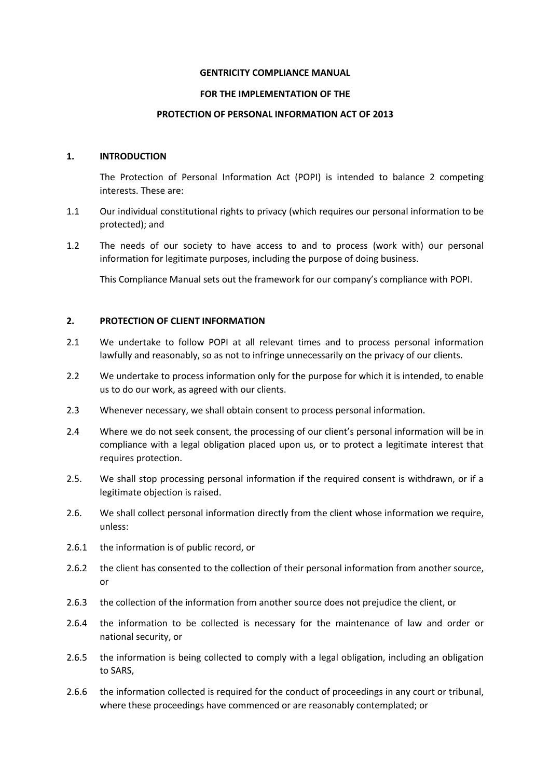#### **GENTRICITY COMPLIANCE MANUAL**

### **FOR THE IMPLEMENTATION OF THE**

#### **PROTECTION OF PERSONAL INFORMATION ACT OF 2013**

### **1. INTRODUCTION**

The Protection of Personal Information Act (POPI) is intended to balance 2 competing interests. These are:

- 1.1 Our individual constitutional rights to privacy (which requires our personal information to be protected); and
- 1.2 The needs of our society to have access to and to process (work with) our personal information for legitimate purposes, including the purpose of doing business.

This Compliance Manual sets out the framework for our company's compliance with POPI.

# **2. PROTECTION OF CLIENT INFORMATION**

- 2.1 We undertake to follow POPI at all relevant times and to process personal information lawfully and reasonably, so as not to infringe unnecessarily on the privacy of our clients.
- 2.2 We undertake to process information only for the purpose for which it is intended, to enable us to do our work, as agreed with our clients.
- 2.3 Whenever necessary, we shall obtain consent to process personal information.
- 2.4 Where we do not seek consent, the processing of our client's personal information will be in compliance with a legal obligation placed upon us, or to protect a legitimate interest that requires protection.
- 2.5. We shall stop processing personal information if the required consent is withdrawn, or if a legitimate objection is raised.
- 2.6. We shall collect personal information directly from the client whose information we require, unless:
- 2.6.1 the information is of public record, or
- 2.6.2 the client has consented to the collection of their personal information from another source, or
- 2.6.3 the collection of the information from another source does not prejudice the client, or
- 2.6.4 the information to be collected is necessary for the maintenance of law and order or national security, or
- 2.6.5 the information is being collected to comply with a legal obligation, including an obligation to SARS,
- 2.6.6 the information collected is required for the conduct of proceedings in any court or tribunal, where these proceedings have commenced or are reasonably contemplated; or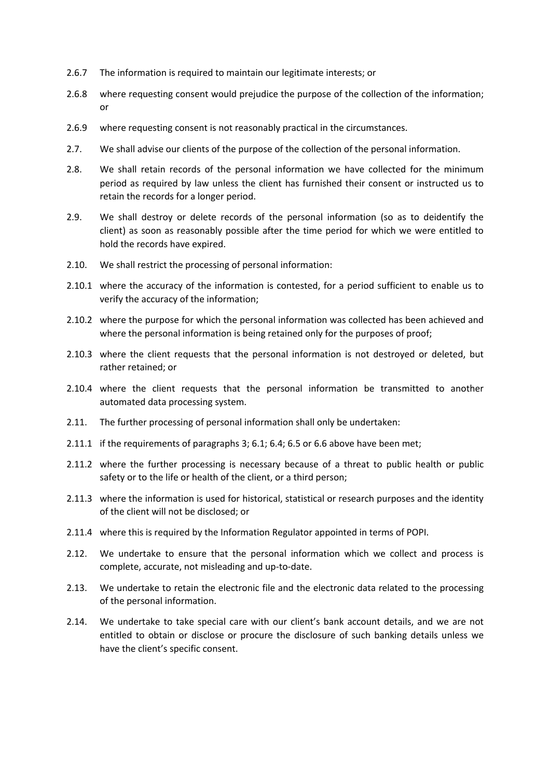- 2.6.7 The information is required to maintain our legitimate interests; or
- 2.6.8 where requesting consent would prejudice the purpose of the collection of the information; or
- 2.6.9 where requesting consent is not reasonably practical in the circumstances.
- 2.7. We shall advise our clients of the purpose of the collection of the personal information.
- 2.8. We shall retain records of the personal information we have collected for the minimum period as required by law unless the client has furnished their consent or instructed us to retain the records for a longer period.
- 2.9. We shall destroy or delete records of the personal information (so as to deidentify the client) as soon as reasonably possible after the time period for which we were entitled to hold the records have expired.
- 2.10. We shall restrict the processing of personal information:
- 2.10.1 where the accuracy of the information is contested, for a period sufficient to enable us to verify the accuracy of the information;
- 2.10.2 where the purpose for which the personal information was collected has been achieved and where the personal information is being retained only for the purposes of proof;
- 2.10.3 where the client requests that the personal information is not destroyed or deleted, but rather retained; or
- 2.10.4 where the client requests that the personal information be transmitted to another automated data processing system.
- 2.11. The further processing of personal information shall only be undertaken:
- 2.11.1 if the requirements of paragraphs 3; 6.1; 6.4; 6.5 or 6.6 above have been met;
- 2.11.2 where the further processing is necessary because of a threat to public health or public safety or to the life or health of the client, or a third person;
- 2.11.3 where the information is used for historical, statistical or research purposes and the identity of the client will not be disclosed; or
- 2.11.4 where this is required by the Information Regulator appointed in terms of POPI.
- 2.12. We undertake to ensure that the personal information which we collect and process is complete, accurate, not misleading and up-to-date.
- 2.13. We undertake to retain the electronic file and the electronic data related to the processing of the personal information.
- 2.14. We undertake to take special care with our client's bank account details, and we are not entitled to obtain or disclose or procure the disclosure of such banking details unless we have the client's specific consent.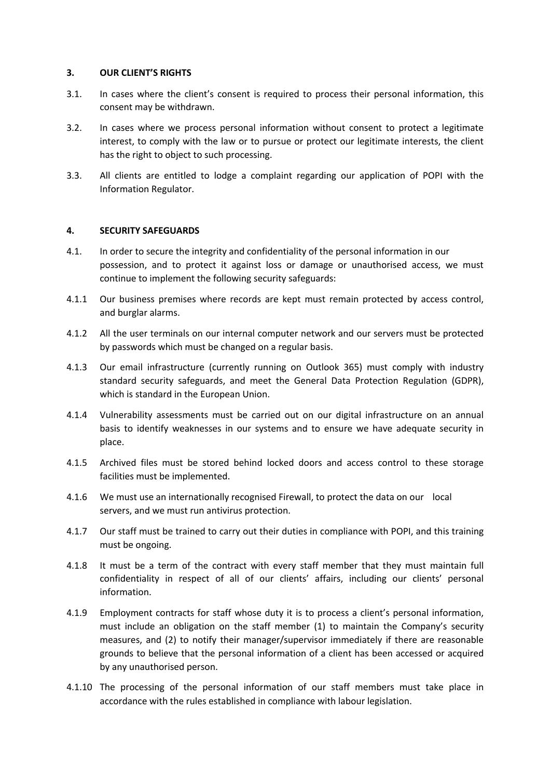### **3. OUR CLIENT'S RIGHTS**

- 3.1. In cases where the client's consent is required to process their personal information, this consent may be withdrawn.
- 3.2. In cases where we process personal information without consent to protect a legitimate interest, to comply with the law or to pursue or protect our legitimate interests, the client has the right to object to such processing.
- 3.3. All clients are entitled to lodge a complaint regarding our application of POPI with the Information Regulator.

## **4. SECURITY SAFEGUARDS**

- 4.1. In order to secure the integrity and confidentiality of the personal information in our possession, and to protect it against loss or damage or unauthorised access, we must continue to implement the following security safeguards:
- 4.1.1 Our business premises where records are kept must remain protected by access control, and burglar alarms.
- 4.1.2 All the user terminals on our internal computer network and our servers must be protected by passwords which must be changed on a regular basis.
- 4.1.3 Our email infrastructure (currently running on Outlook 365) must comply with industry standard security safeguards, and meet the General Data Protection Regulation (GDPR), which is standard in the European Union.
- 4.1.4 Vulnerability assessments must be carried out on our digital infrastructure on an annual basis to identify weaknesses in our systems and to ensure we have adequate security in place.
- 4.1.5 Archived files must be stored behind locked doors and access control to these storage facilities must be implemented.
- 4.1.6 We must use an internationally recognised Firewall, to protect the data on our local servers, and we must run antivirus protection.
- 4.1.7 Our staff must be trained to carry out their duties in compliance with POPI, and this training must be ongoing.
- 4.1.8 It must be a term of the contract with every staff member that they must maintain full confidentiality in respect of all of our clients' affairs, including our clients' personal information.
- 4.1.9 Employment contracts for staff whose duty it is to process a client's personal information, must include an obligation on the staff member (1) to maintain the Company's security measures, and (2) to notify their manager/supervisor immediately if there are reasonable grounds to believe that the personal information of a client has been accessed or acquired by any unauthorised person.
- 4.1.10 The processing of the personal information of our staff members must take place in accordance with the rules established in compliance with labour legislation.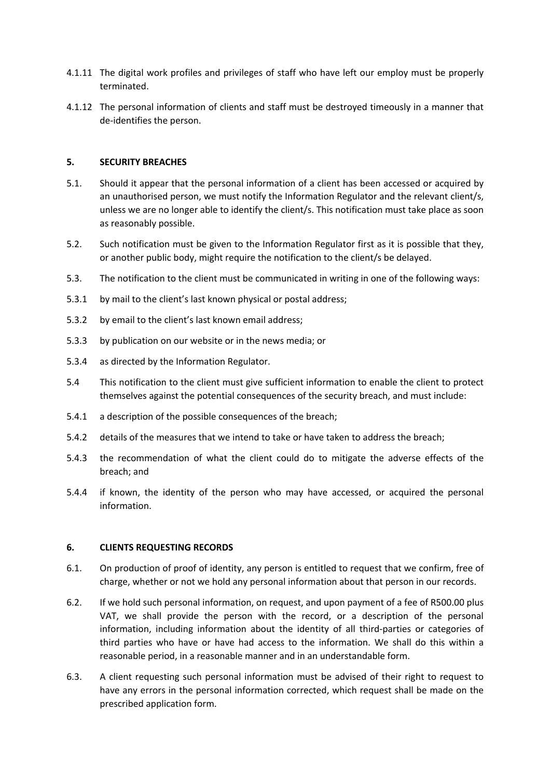- 4.1.11 The digital work profiles and privileges of staff who have left our employ must be properly terminated.
- 4.1.12 The personal information of clients and staff must be destroyed timeously in a manner that de-identifies the person.

## **5. SECURITY BREACHES**

- 5.1. Should it appear that the personal information of a client has been accessed or acquired by an unauthorised person, we must notify the Information Regulator and the relevant client/s, unless we are no longer able to identify the client/s. This notification must take place as soon as reasonably possible.
- 5.2. Such notification must be given to the Information Regulator first as it is possible that they, or another public body, might require the notification to the client/s be delayed.
- 5.3. The notification to the client must be communicated in writing in one of the following ways:
- 5.3.1 by mail to the client's last known physical or postal address;
- 5.3.2 by email to the client's last known email address;
- 5.3.3 by publication on our website or in the news media; or
- 5.3.4 as directed by the Information Regulator.
- 5.4 This notification to the client must give sufficient information to enable the client to protect themselves against the potential consequences of the security breach, and must include:
- 5.4.1 a description of the possible consequences of the breach;
- 5.4.2 details of the measures that we intend to take or have taken to address the breach;
- 5.4.3 the recommendation of what the client could do to mitigate the adverse effects of the breach; and
- 5.4.4 if known, the identity of the person who may have accessed, or acquired the personal information.

## **6. CLIENTS REQUESTING RECORDS**

- 6.1. On production of proof of identity, any person is entitled to request that we confirm, free of charge, whether or not we hold any personal information about that person in our records.
- 6.2. If we hold such personal information, on request, and upon payment of a fee of R500.00 plus VAT, we shall provide the person with the record, or a description of the personal information, including information about the identity of all third-parties or categories of third parties who have or have had access to the information. We shall do this within a reasonable period, in a reasonable manner and in an understandable form.
- 6.3. A client requesting such personal information must be advised of their right to request to have any errors in the personal information corrected, which request shall be made on the prescribed application form.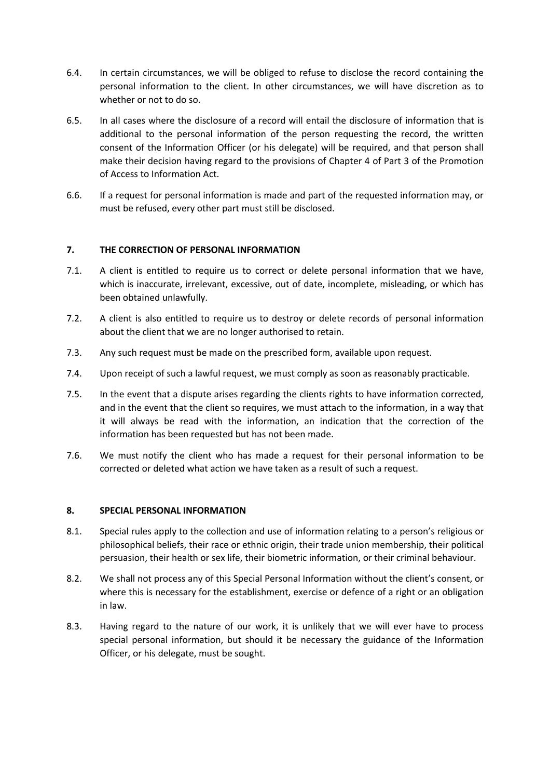- 6.4. In certain circumstances, we will be obliged to refuse to disclose the record containing the personal information to the client. In other circumstances, we will have discretion as to whether or not to do so.
- 6.5. In all cases where the disclosure of a record will entail the disclosure of information that is additional to the personal information of the person requesting the record, the written consent of the Information Officer (or his delegate) will be required, and that person shall make their decision having regard to the provisions of Chapter 4 of Part 3 of the Promotion of Access to Information Act.
- 6.6. If a request for personal information is made and part of the requested information may, or must be refused, every other part must still be disclosed.

# **7. THE CORRECTION OF PERSONAL INFORMATION**

- 7.1. A client is entitled to require us to correct or delete personal information that we have, which is inaccurate, irrelevant, excessive, out of date, incomplete, misleading, or which has been obtained unlawfully.
- 7.2. A client is also entitled to require us to destroy or delete records of personal information about the client that we are no longer authorised to retain.
- 7.3. Any such request must be made on the prescribed form, available upon request.
- 7.4. Upon receipt of such a lawful request, we must comply as soon as reasonably practicable.
- 7.5. In the event that a dispute arises regarding the clients rights to have information corrected, and in the event that the client so requires, we must attach to the information, in a way that it will always be read with the information, an indication that the correction of the information has been requested but has not been made.
- 7.6. We must notify the client who has made a request for their personal information to be corrected or deleted what action we have taken as a result of such a request.

## **8. SPECIAL PERSONAL INFORMATION**

- 8.1. Special rules apply to the collection and use of information relating to a person's religious or philosophical beliefs, their race or ethnic origin, their trade union membership, their political persuasion, their health or sex life, their biometric information, or their criminal behaviour.
- 8.2. We shall not process any of this Special Personal Information without the client's consent, or where this is necessary for the establishment, exercise or defence of a right or an obligation in law.
- 8.3. Having regard to the nature of our work, it is unlikely that we will ever have to process special personal information, but should it be necessary the guidance of the Information Officer, or his delegate, must be sought.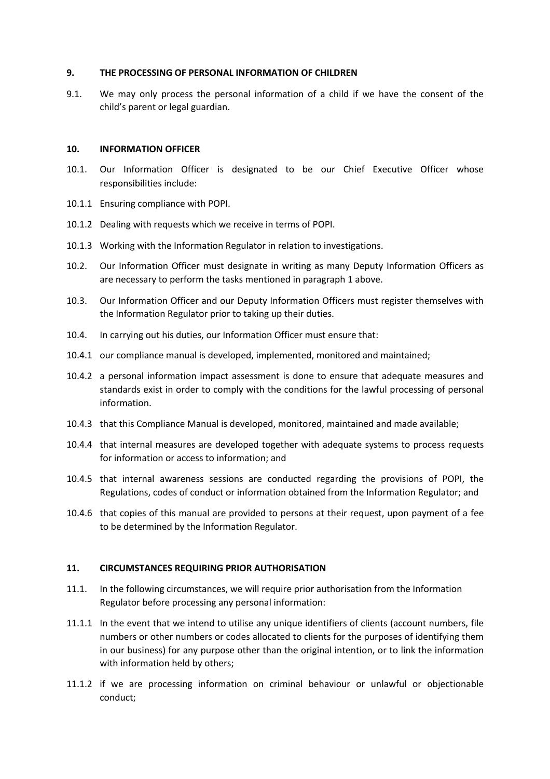### **9. THE PROCESSING OF PERSONAL INFORMATION OF CHILDREN**

9.1. We may only process the personal information of a child if we have the consent of the child's parent or legal guardian.

### **10. INFORMATION OFFICER**

- 10.1. Our Information Officer is designated to be our Chief Executive Officer whose responsibilities include:
- 10.1.1 Ensuring compliance with POPI.
- 10.1.2 Dealing with requests which we receive in terms of POPI.
- 10.1.3 Working with the Information Regulator in relation to investigations.
- 10.2. Our Information Officer must designate in writing as many Deputy Information Officers as are necessary to perform the tasks mentioned in paragraph 1 above.
- 10.3. Our Information Officer and our Deputy Information Officers must register themselves with the Information Regulator prior to taking up their duties.
- 10.4. In carrying out his duties, our Information Officer must ensure that:
- 10.4.1 our compliance manual is developed, implemented, monitored and maintained;
- 10.4.2 a personal information impact assessment is done to ensure that adequate measures and standards exist in order to comply with the conditions for the lawful processing of personal information.
- 10.4.3 that this Compliance Manual is developed, monitored, maintained and made available;
- 10.4.4 that internal measures are developed together with adequate systems to process requests for information or access to information; and
- 10.4.5 that internal awareness sessions are conducted regarding the provisions of POPI, the Regulations, codes of conduct or information obtained from the Information Regulator; and
- 10.4.6 that copies of this manual are provided to persons at their request, upon payment of a fee to be determined by the Information Regulator.

## **11. CIRCUMSTANCES REQUIRING PRIOR AUTHORISATION**

- 11.1. In the following circumstances, we will require prior authorisation from the Information Regulator before processing any personal information:
- 11.1.1 In the event that we intend to utilise any unique identifiers of clients (account numbers, file numbers or other numbers or codes allocated to clients for the purposes of identifying them in our business) for any purpose other than the original intention, or to link the information with information held by others;
- 11.1.2 if we are processing information on criminal behaviour or unlawful or objectionable conduct;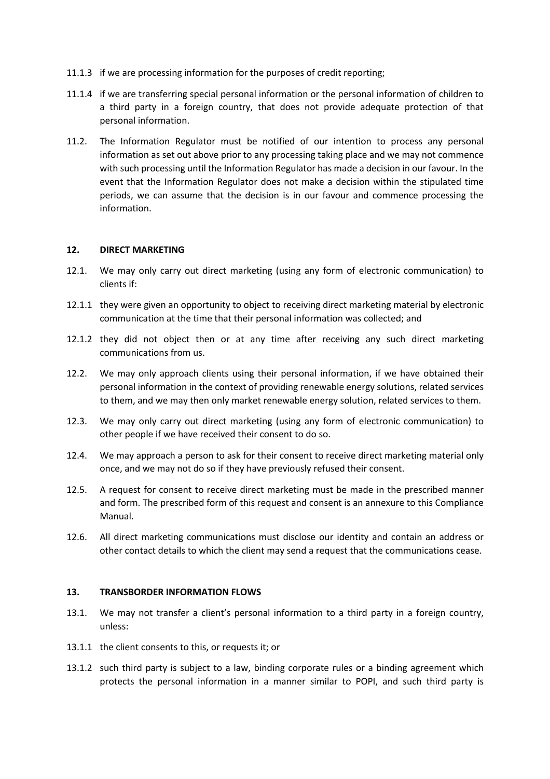- 11.1.3 if we are processing information for the purposes of credit reporting;
- 11.1.4 if we are transferring special personal information or the personal information of children to a third party in a foreign country, that does not provide adequate protection of that personal information.
- 11.2. The Information Regulator must be notified of our intention to process any personal information as set out above prior to any processing taking place and we may not commence with such processing until the Information Regulator has made a decision in our favour. In the event that the Information Regulator does not make a decision within the stipulated time periods, we can assume that the decision is in our favour and commence processing the information.

### **12. DIRECT MARKETING**

- 12.1. We may only carry out direct marketing (using any form of electronic communication) to clients if:
- 12.1.1 they were given an opportunity to object to receiving direct marketing material by electronic communication at the time that their personal information was collected; and
- 12.1.2 they did not object then or at any time after receiving any such direct marketing communications from us.
- 12.2. We may only approach clients using their personal information, if we have obtained their personal information in the context of providing renewable energy solutions, related services to them, and we may then only market renewable energy solution, related services to them.
- 12.3. We may only carry out direct marketing (using any form of electronic communication) to other people if we have received their consent to do so.
- 12.4. We may approach a person to ask for their consent to receive direct marketing material only once, and we may not do so if they have previously refused their consent.
- 12.5. A request for consent to receive direct marketing must be made in the prescribed manner and form. The prescribed form of this request and consent is an annexure to this Compliance Manual.
- 12.6. All direct marketing communications must disclose our identity and contain an address or other contact details to which the client may send a request that the communications cease.

#### **13. TRANSBORDER INFORMATION FLOWS**

- 13.1. We may not transfer a client's personal information to a third party in a foreign country, unless:
- 13.1.1 the client consents to this, or requests it; or
- 13.1.2 such third party is subject to a law, binding corporate rules or a binding agreement which protects the personal information in a manner similar to POPI, and such third party is